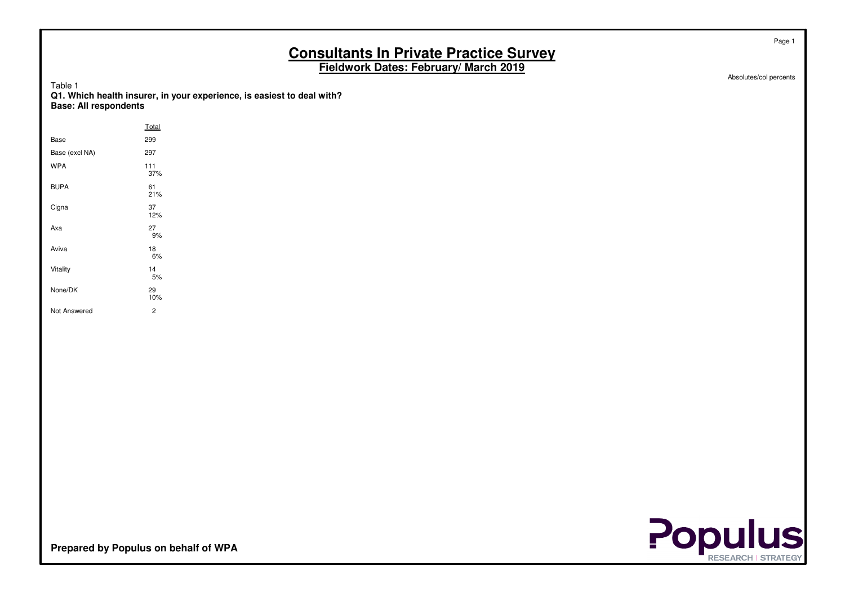Absolutes/col percents

Page 1

Table 1 **Q1. Which health insurer, in your experience, is easiest to deal with?Base: All respondents**

|                | Total      |  |
|----------------|------------|--|
| Base           | 299        |  |
| Base (excl NA) | 297        |  |
| <b>WPA</b>     | 111<br>37% |  |
| <b>BUPA</b>    | 61<br>21%  |  |
| Cigna          | 37<br>12%  |  |
| Axa            | 27<br>9%   |  |
| Aviva          | 18<br>6%   |  |
| Vitality       | 14<br>5%   |  |
| None/DK        | 29<br>10%  |  |
| Not Answered   | 2          |  |



**Prepared by Populus on behalf of WPA**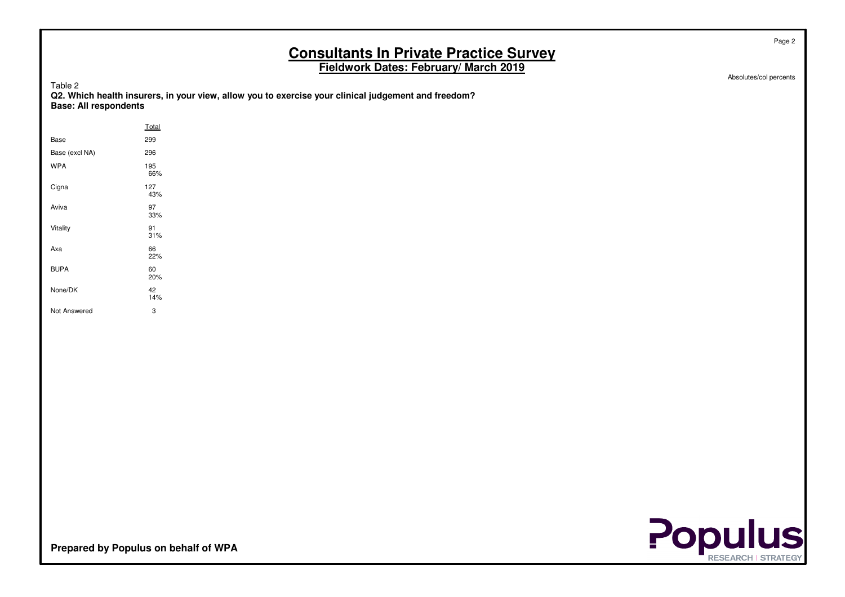Absolutes/col percents

Page 2

|  | ۱<br>4 M A |  |  |
|--|------------|--|--|
|--|------------|--|--|

| Tault <i>L</i><br>Q2. Which health insurers, in your view, allow you to exercise your clinical judgement and freedom? |
|-----------------------------------------------------------------------------------------------------------------------|
| <b>Base: All respondents</b>                                                                                          |
|                                                                                                                       |

|                | Total      |
|----------------|------------|
| Base           | 299        |
| Base (excl NA) | 296        |
| <b>WPA</b>     | 195<br>66% |
| Cigna          | 127<br>43% |
| Aviva          | 97<br>33%  |
| Vitality       | 91<br>31%  |
| Axa            | 66<br>22%  |
| <b>BUPA</b>    | 60<br>20%  |
| None/DK        | 42<br>14%  |
| Not Answered   | 3          |

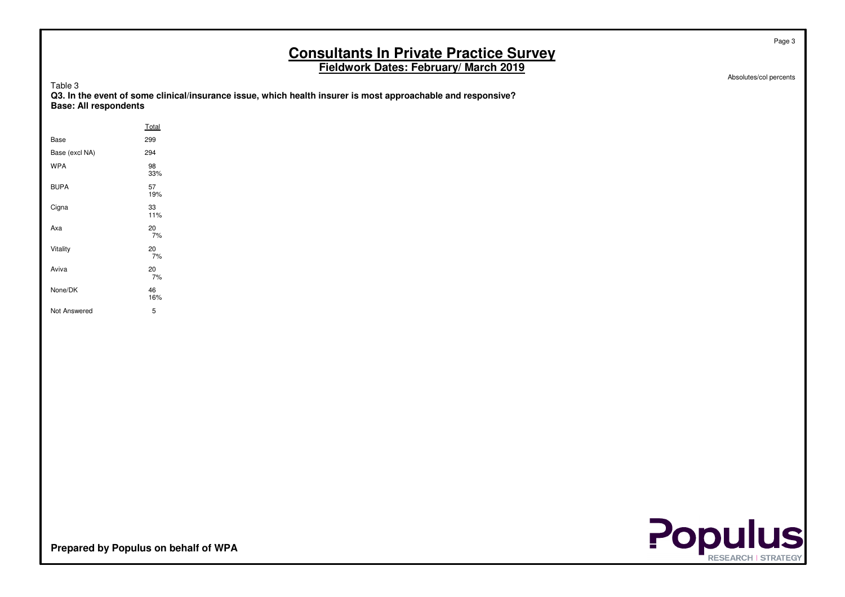Absolutes/col percents

Page 3

| anie |  |  |
|------|--|--|
|------|--|--|

| i uviv v                                                                                                     |
|--------------------------------------------------------------------------------------------------------------|
| Q3. In the event of some clinical/insurance issue, which health insurer is most approachable and responsive? |
| <b>Base: All respondents</b>                                                                                 |
|                                                                                                              |

|                | Total     |
|----------------|-----------|
| Base           | 299       |
| Base (excl NA) | 294       |
| <b>WPA</b>     | 98<br>33% |
| <b>BUPA</b>    | 57<br>19% |
| Cigna          | 33<br>11% |
| Axa            | 20<br>7%  |
| Vitality       | 20<br>7%  |
| Aviva          | 20<br>7%  |
| None/DK        | 46<br>16% |
| Not Answered   | 5         |

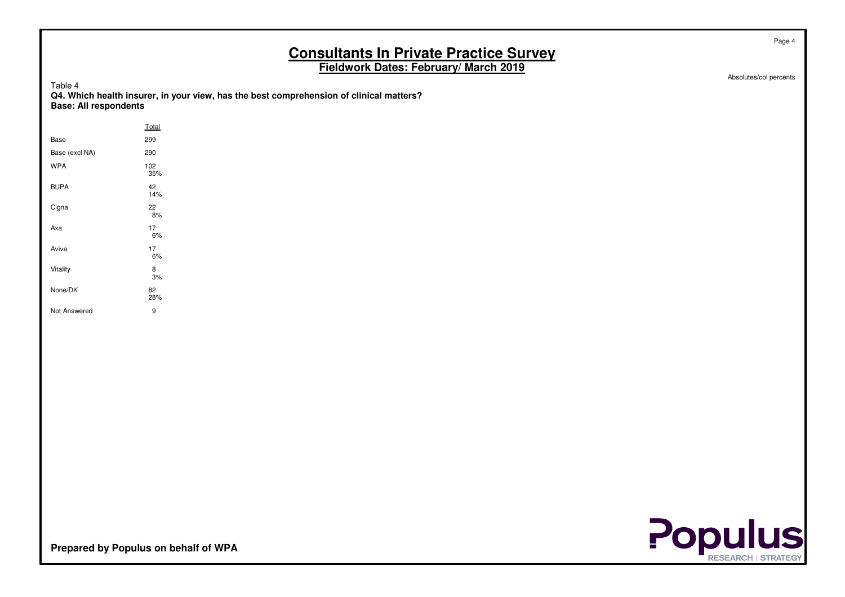Absolutes/col percents

Page 4

|  | ۱.<br>Æ |  |  |
|--|---------|--|--|
|--|---------|--|--|

| Base: All respondents | Q4. Which health insurer, in your view, has the best comprehension of clinical matters? |
|-----------------------|-----------------------------------------------------------------------------------------|
|                       | Total                                                                                   |

| Base           | 299        |
|----------------|------------|
| Base (excl NA) | 290        |
| <b>WPA</b>     | 102<br>35% |
| <b>BUPA</b>    | 42<br>14%  |
| Cigna          | 22<br>8%   |
| Axa            | 17<br>6%   |
| Aviva          | 17<br>6%   |
| Vitality       | 8<br>3%    |
| None/DK        | 82<br>28%  |
| Not Answered   | 9          |